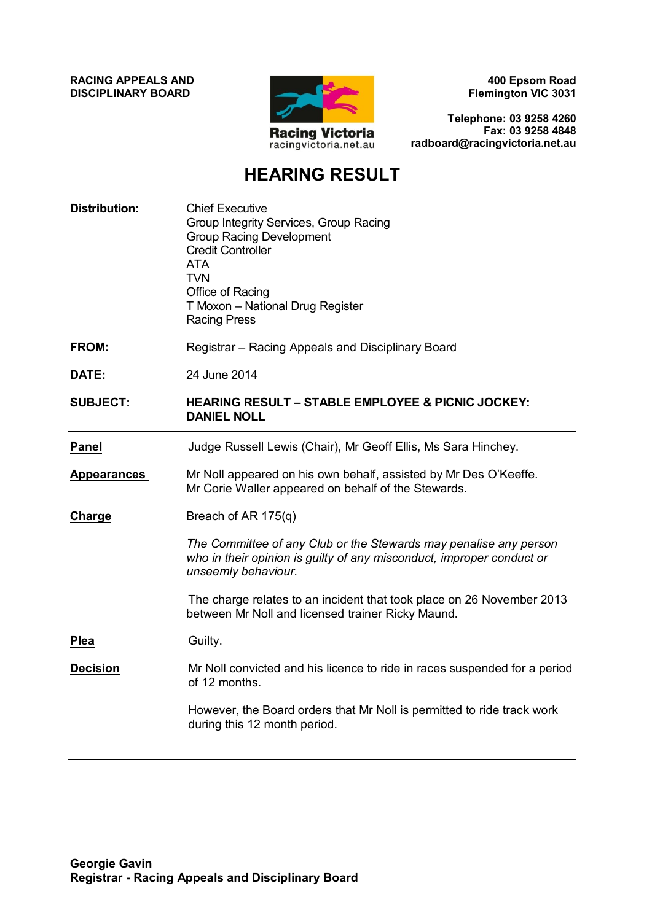**RACING APPEALS AND DISCIPLINARY BOARD**



**400 Epsom Road Flemington VIC 3031**

**Telephone: 03 9258 4260 Fax: 03 9258 4848 radboard@racingvictoria.net.au**

# **HEARING RESULT**

| <b>Distribution:</b> | <b>Chief Executive</b><br>Group Integrity Services, Group Racing<br><b>Group Racing Development</b><br><b>Credit Controller</b><br><b>ATA</b><br><b>TVN</b><br>Office of Racing<br>T Moxon - National Drug Register<br><b>Racing Press</b> |
|----------------------|--------------------------------------------------------------------------------------------------------------------------------------------------------------------------------------------------------------------------------------------|
| <b>FROM:</b>         | Registrar - Racing Appeals and Disciplinary Board                                                                                                                                                                                          |
| DATE:                | 24 June 2014                                                                                                                                                                                                                               |
| <b>SUBJECT:</b>      | <b>HEARING RESULT - STABLE EMPLOYEE &amp; PICNIC JOCKEY:</b><br><b>DANIEL NOLL</b>                                                                                                                                                         |
| <b>Panel</b>         | Judge Russell Lewis (Chair), Mr Geoff Ellis, Ms Sara Hinchey.                                                                                                                                                                              |
| <b>Appearances</b>   | Mr Noll appeared on his own behalf, assisted by Mr Des O'Keeffe.<br>Mr Corie Waller appeared on behalf of the Stewards.                                                                                                                    |
| <b>Charge</b>        | Breach of AR $175(q)$                                                                                                                                                                                                                      |
|                      | The Committee of any Club or the Stewards may penalise any person<br>who in their opinion is guilty of any misconduct, improper conduct or<br>unseemly behaviour.                                                                          |
|                      | The charge relates to an incident that took place on 26 November 2013<br>between Mr Noll and licensed trainer Ricky Maund.                                                                                                                 |
| <b>Plea</b>          | Guilty.                                                                                                                                                                                                                                    |
| <b>Decision</b>      | Mr Noll convicted and his licence to ride in races suspended for a period<br>of 12 months.                                                                                                                                                 |
|                      | However, the Board orders that Mr Noll is permitted to ride track work<br>during this 12 month period.                                                                                                                                     |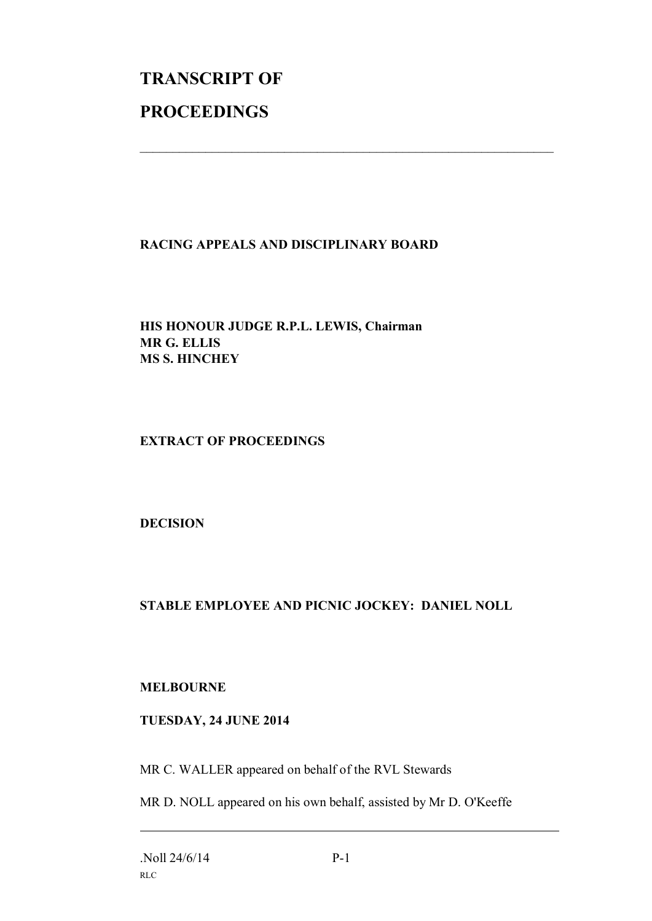# **TRANSCRIPT OF PROCEEDINGS**

## **RACING APPEALS AND DISCIPLINARY BOARD**

 $\mathcal{L}_\text{max}$  , and the contribution of the contribution of the contribution of the contribution of the contribution of the contribution of the contribution of the contribution of the contribution of the contribution of t

**HIS HONOUR JUDGE R.P.L. LEWIS, Chairman MR G. ELLIS MS S. HINCHEY**

**EXTRACT OF PROCEEDINGS**

**DECISION**

# **STABLE EMPLOYEE AND PICNIC JOCKEY: DANIEL NOLL**

## **MELBOURNE**

## **TUESDAY, 24 JUNE 2014**

MR C. WALLER appeared on behalf of the RVL Stewards

MR D. NOLL appeared on his own behalf, assisted by Mr D. O'Keeffe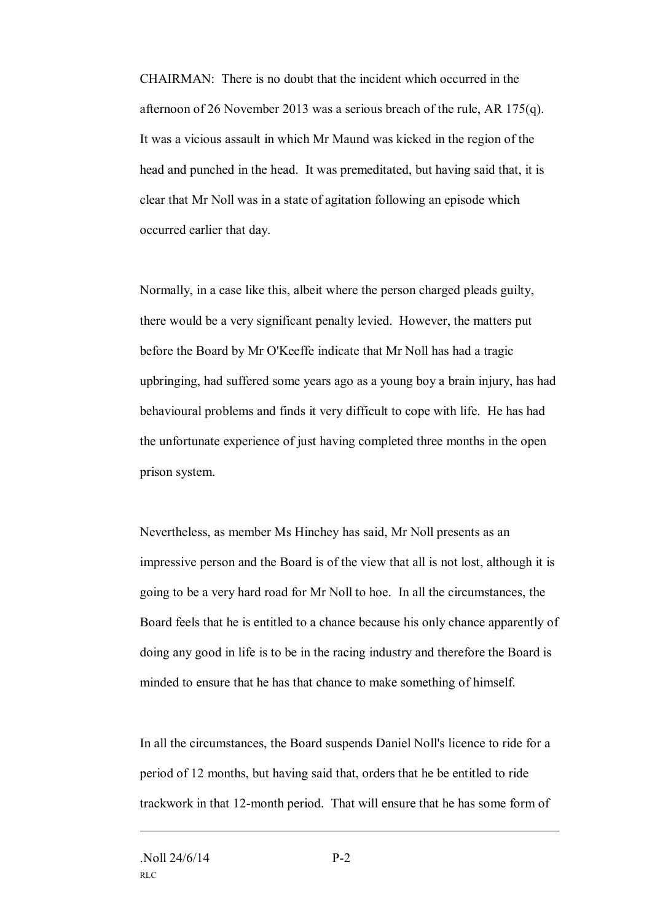CHAIRMAN: There is no doubt that the incident which occurred in the afternoon of 26 November 2013 was a serious breach of the rule, AR 175(q). It was a vicious assault in which Mr Maund was kicked in the region of the head and punched in the head. It was premeditated, but having said that, it is clear that Mr Noll was in a state of agitation following an episode which occurred earlier that day.

Normally, in a case like this, albeit where the person charged pleads guilty, there would be a very significant penalty levied. However, the matters put before the Board by Mr O'Keeffe indicate that Mr Noll has had a tragic upbringing, had suffered some years ago as a young boy a brain injury, has had behavioural problems and finds it very difficult to cope with life. He has had the unfortunate experience of just having completed three months in the open prison system.

Nevertheless, as member Ms Hinchey has said, Mr Noll presents as an impressive person and the Board is of the view that all is not lost, although it is going to be a very hard road for Mr Noll to hoe. In all the circumstances, the Board feels that he is entitled to a chance because his only chance apparently of doing any good in life is to be in the racing industry and therefore the Board is minded to ensure that he has that chance to make something of himself.

In all the circumstances, the Board suspends Daniel Noll's licence to ride for a period of 12 months, but having said that, orders that he be entitled to ride trackwork in that 12-month period. That will ensure that he has some form of